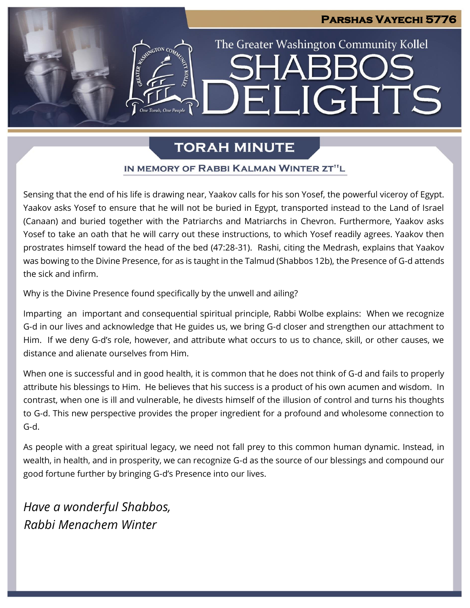# **Parshas Vayechi 5776** The Greater Washington Community Kollel ELIGHTS

# **TORAH MINUTE**

# IN MEMORY OF RABBI KALMAN WINTER ZT"L

Sensing that the end of his life is drawing near, Yaakov calls for his son Yosef, the powerful viceroy of Egypt. Yaakov asks Yosef to ensure that he will not be buried in Egypt, transported instead to the Land of Israel (Canaan) and buried together with the Patriarchs and Matriarchs in Chevron. Furthermore, Yaakov asks Yosef to take an oath that he will carry out these instructions, to which Yosef readily agrees. Yaakov then prostrates himself toward the head of the bed (47:28-31). Rashi, citing the Medrash, explains that Yaakov was bowing to the Divine Presence, for as is taught in the Talmud (Shabbos 12b), the Presence of G-d attends the sick and infirm.

Why is the Divine Presence found specifically by the unwell and ailing?

Imparting an important and consequential spiritual principle, Rabbi Wolbe explains: When we recognize G-d in our lives and acknowledge that He guides us, we bring G-d closer and strengthen our attachment to Him. If we deny G-d's role, however, and attribute what occurs to us to chance, skill, or other causes, we distance and alienate ourselves from Him.

When one is successful and in good health, it is common that he does not think of G-d and fails to properly attribute his blessings to Him. He believes that his success is a product of his own acumen and wisdom. In contrast, when one is ill and vulnerable, he divests himself of the illusion of control and turns his thoughts to G-d. This new perspective provides the proper ingredient for a profound and wholesome connection to G-d.

As people with a great spiritual legacy, we need not fall prey to this common human dynamic. Instead, in wealth, in health, and in prosperity, we can recognize G-d as the source of our blessings and compound our good fortune further by bringing G-d's Presence into our lives.

*Have a wonderful Shabbos, Rabbi Menachem Winter*